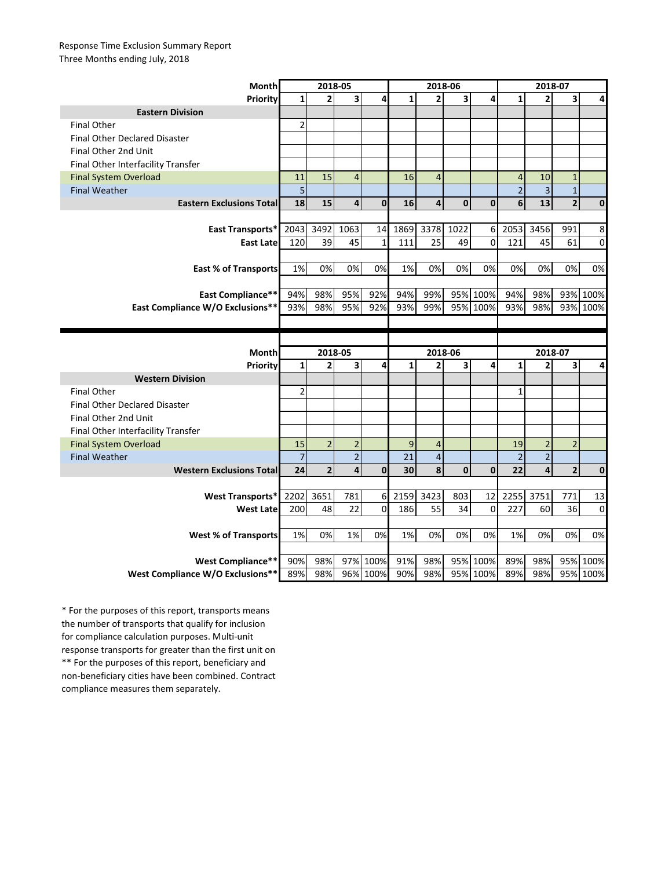## Response Time Exclusion Summary Report Three Months ending July, 2018

| Month                                | 2018-05        |                         |                |                      | 2018-06         |                |                         |              | 2018-07        |                |                         |              |
|--------------------------------------|----------------|-------------------------|----------------|----------------------|-----------------|----------------|-------------------------|--------------|----------------|----------------|-------------------------|--------------|
| Priority                             | $\mathbf{1}$   | $\overline{2}$          | 3              | 4                    | $\mathbf{1}$    | $\overline{2}$ | $\overline{\mathbf{3}}$ | 4            | $\mathbf{1}$   | $\overline{2}$ | 3                       | 4            |
| <b>Eastern Division</b>              |                |                         |                |                      |                 |                |                         |              |                |                |                         |              |
| <b>Final Other</b>                   | $\overline{2}$ |                         |                |                      |                 |                |                         |              |                |                |                         |              |
| <b>Final Other Declared Disaster</b> |                |                         |                |                      |                 |                |                         |              |                |                |                         |              |
| Final Other 2nd Unit                 |                |                         |                |                      |                 |                |                         |              |                |                |                         |              |
| Final Other Interfacility Transfer   |                |                         |                |                      |                 |                |                         |              |                |                |                         |              |
| <b>Final System Overload</b>         | 11             | 15                      | $\overline{4}$ |                      | 16              | $\overline{4}$ |                         |              | $\overline{4}$ | 10             | $\mathbf{1}$            |              |
| <b>Final Weather</b>                 | 5              |                         |                |                      |                 |                |                         |              | $\overline{2}$ | 3              | $\mathbf{1}$            |              |
| <b>Eastern Exclusions Total</b>      | 18             | 15                      | 4              | $\mathbf{0}$         | 16              | $\overline{4}$ | 0                       | $\mathbf{0}$ | 6              | 13             | $\overline{\mathbf{c}}$ | $\mathbf 0$  |
|                                      |                |                         |                |                      |                 |                |                         |              |                |                |                         |              |
| East Transports*                     | 2043           | 3492                    | 1063           | 14                   | 1869            | 3378           | 1022                    | 6            | 2053           | 3456           | 991                     | 8            |
| <b>East Late</b>                     | 120            | 39                      | 45             | $\mathbf{1}$         | 111             | 25             | 49                      | 0            | 121            | 45             | 61                      | 0            |
|                                      |                |                         |                |                      |                 |                |                         |              |                |                |                         |              |
| <b>East % of Transports</b>          | 1%             | 0%                      | 0%             | 0%                   | 1%              | 0%             | 0%                      | 0%           | 0%             | 0%             | 0%                      | 0%           |
|                                      |                |                         |                |                      |                 |                |                         |              |                |                |                         |              |
| <b>East Compliance**</b>             | 94%            | 98%                     | 95%            | 92%                  | 94%             | 99%            |                         | 95% 100%     | 94%            | 98%            | 93%                     | 100%         |
| East Compliance W/O Exclusions**     | 93%            | 98%                     | 95%            | 92%                  | 93%             | 99%            |                         | 95% 100%     | 93%            | 98%            | 93%                     | 100%         |
|                                      |                |                         |                |                      |                 |                |                         |              |                |                |                         |              |
|                                      |                |                         |                |                      |                 |                |                         |              |                |                |                         |              |
|                                      |                |                         |                |                      |                 |                |                         |              |                |                |                         |              |
| <b>Month</b>                         |                | $2018 - 05$             |                |                      |                 | 2018-06        |                         |              |                | 2018-07        |                         |              |
| Priority                             | $\mathbf{1}$   | $\overline{2}$          | 3              | 4                    | $\mathbf{1}$    | $\overline{2}$ | 3                       | 4            | $\mathbf{1}$   | $\overline{2}$ | 3                       | 4            |
| <b>Western Division</b>              |                |                         |                |                      |                 |                |                         |              |                |                |                         |              |
| <b>Final Other</b>                   | 2              |                         |                |                      |                 |                |                         |              | $\mathbf{1}$   |                |                         |              |
| <b>Final Other Declared Disaster</b> |                |                         |                |                      |                 |                |                         |              |                |                |                         |              |
| Final Other 2nd Unit                 |                |                         |                |                      |                 |                |                         |              |                |                |                         |              |
| Final Other Interfacility Transfer   |                |                         |                |                      |                 |                |                         |              |                |                |                         |              |
| <b>Final System Overload</b>         | 15             | $\overline{2}$          | $\overline{2}$ |                      | 9               | 4              |                         |              | 19             | $\overline{2}$ | $\overline{2}$          |              |
| <b>Final Weather</b>                 | $\overline{7}$ |                         | $\overline{2}$ |                      | $\overline{21}$ | $\overline{4}$ |                         |              | $\overline{2}$ | $\overline{2}$ |                         |              |
| <b>Western Exclusions Total</b>      | 24             | $\overline{\mathbf{c}}$ | 4              | $\mathbf 0$          | 30              | 8              | $\mathbf 0$             | $\mathbf 0$  | 22             | 4              | $\overline{\mathbf{c}}$ | $\mathbf{0}$ |
|                                      |                |                         |                |                      |                 |                |                         |              |                |                |                         |              |
| West Transports*                     | 2202           | 3651                    | 781            | 6 <sup>1</sup>       | 2159            | 3423           | 803                     | 12           | 2255           | 3751           | 771                     | 13           |
| <b>West Late</b>                     | 200            | 48                      | 22             | 0                    | 186             | 55             | 34                      | 0            | 227            | 60             | 36                      | 0            |
|                                      |                |                         |                |                      |                 |                |                         |              |                |                |                         |              |
| <b>West % of Transports</b>          | 1%             | 0%                      | 1%             | 0%                   | 1%              | 0%             | 0%                      | 0%           | 1%             | 0%             | 0%                      | 0%           |
|                                      |                |                         |                |                      |                 |                |                         |              |                |                |                         |              |
| <b>West Compliance**</b>             | 90%            | 98%                     |                | 97% 100%<br>96% 100% | 91%             | 98%            |                         | 95% 100%     | 89%            | 98%            | 95%                     | 100%         |

\*\* For the purposes of this report, beneficiary and non-beneficiary cities have been combined. Contract compliance measures them separately. \* For the purposes of this report, transports means the number of transports that qualify for inclusion for compliance calculation purposes. Multi-unit response transports for greater than the first unit on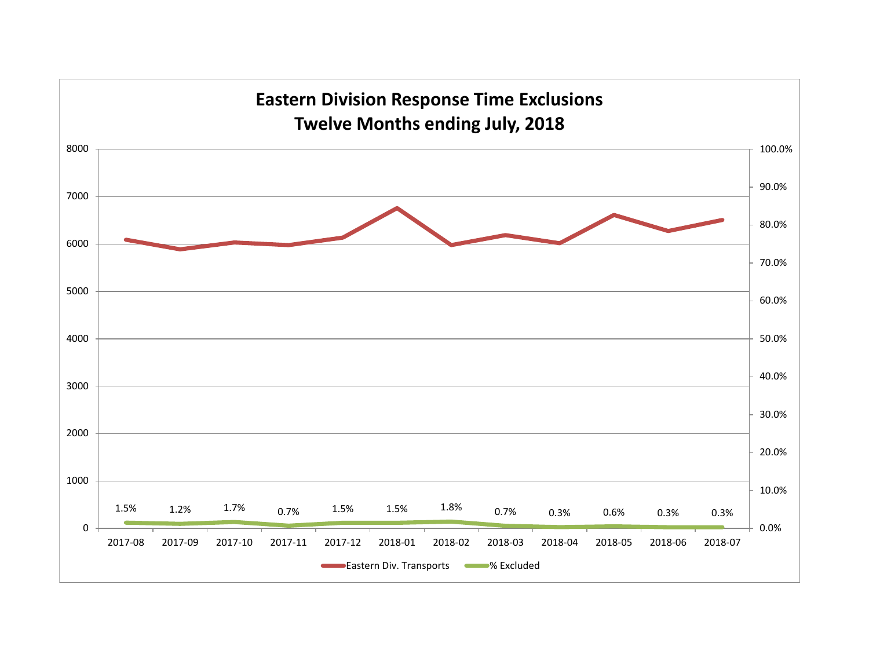